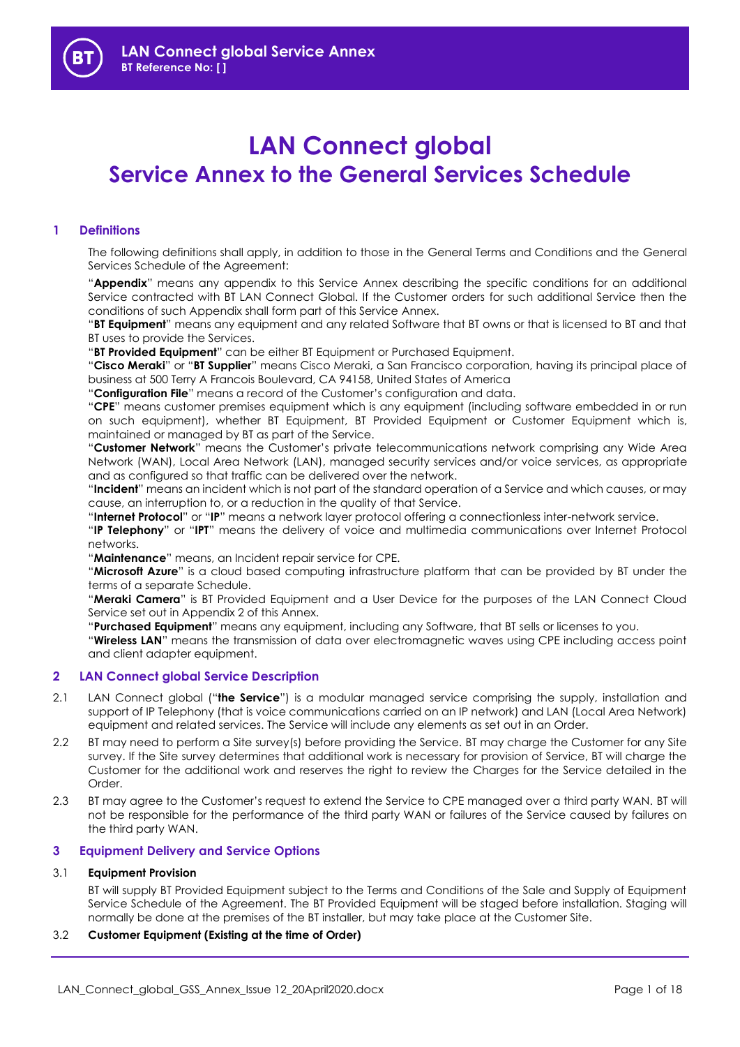# **LAN Connect global Service Annex to the General Services Schedule**

## **1 Definitions**

The following definitions shall apply, in addition to those in the General Terms and Conditions and the General Services Schedule of the Agreement:

"**Appendix**" means any appendix to this Service Annex describing the specific conditions for an additional Service contracted with BT LAN Connect Global. If the Customer orders for such additional Service then the conditions of such Appendix shall form part of this Service Annex.

"**BT Equipment**" means any equipment and any related Software that BT owns or that is licensed to BT and that BT uses to provide the Services.

"**BT Provided Equipment**" can be either BT Equipment or Purchased Equipment.

"**Cisco Meraki**" or "**BT Supplier**" means Cisco Meraki, a San Francisco corporation, having its principal place of business at 500 Terry A Francois Boulevard, CA 94158, United States of America

"**Configuration File**" means a record of the Customer's configuration and data.

"**CPE**" means customer premises equipment which is any equipment (including software embedded in or run on such equipment), whether BT Equipment, BT Provided Equipment or Customer Equipment which is, maintained or managed by BT as part of the Service.

"**Customer Network**" means the Customer's private telecommunications network comprising any Wide Area Network (WAN), Local Area Network (LAN), managed security services and/or voice services, as appropriate and as configured so that traffic can be delivered over the network.

"**Incident**" means an incident which is not part of the standard operation of a Service and which causes, or may cause, an interruption to, or a reduction in the quality of that Service.

"**Internet Protocol**" or "**IP**" means a network layer protocol offering a connectionless inter-network service.

"**IP Telephony**" or "**IPT**" means the delivery of voice and multimedia communications over Internet Protocol networks.

"**Maintenance**" means, an Incident repair service for CPE.

"**Microsoft Azure**" is a cloud based computing infrastructure platform that can be provided by BT under the terms of a separate Schedule.

"**Meraki Camera**" is BT Provided Equipment and a User Device for the purposes of the LAN Connect Cloud Service set out in Appendix 2 of this Annex.

"**Purchased Equipment**" means any equipment, including any Software, that BT sells or licenses to you.

"**Wireless LAN**" means the transmission of data over electromagnetic waves using CPE including access point and client adapter equipment.

## **2 LAN Connect global Service Description**

- 2.1 LAN Connect global ("**the Service**") is a modular managed service comprising the supply, installation and support of IP Telephony (that is voice communications carried on an IP network) and LAN (Local Area Network) equipment and related services. The Service will include any elements as set out in an Order.
- 2.2 BT may need to perform a Site survey(s) before providing the Service. BT may charge the Customer for any Site survey. If the Site survey determines that additional work is necessary for provision of Service, BT will charge the Customer for the additional work and reserves the right to review the Charges for the Service detailed in the Order.
- 2.3 BT may agree to the Customer's request to extend the Service to CPE managed over a third party WAN. BT will not be responsible for the performance of the third party WAN or failures of the Service caused by failures on the third party WAN.

## **3 Equipment Delivery and Service Options**

## 3.1 **Equipment Provision**

BT will supply BT Provided Equipment subject to the Terms and Conditions of the Sale and Supply of Equipment Service Schedule of the Agreement. The BT Provided Equipment will be staged before installation. Staging will normally be done at the premises of the BT installer, but may take place at the Customer Site.

## 3.2 **Customer Equipment (Existing at the time of Order)**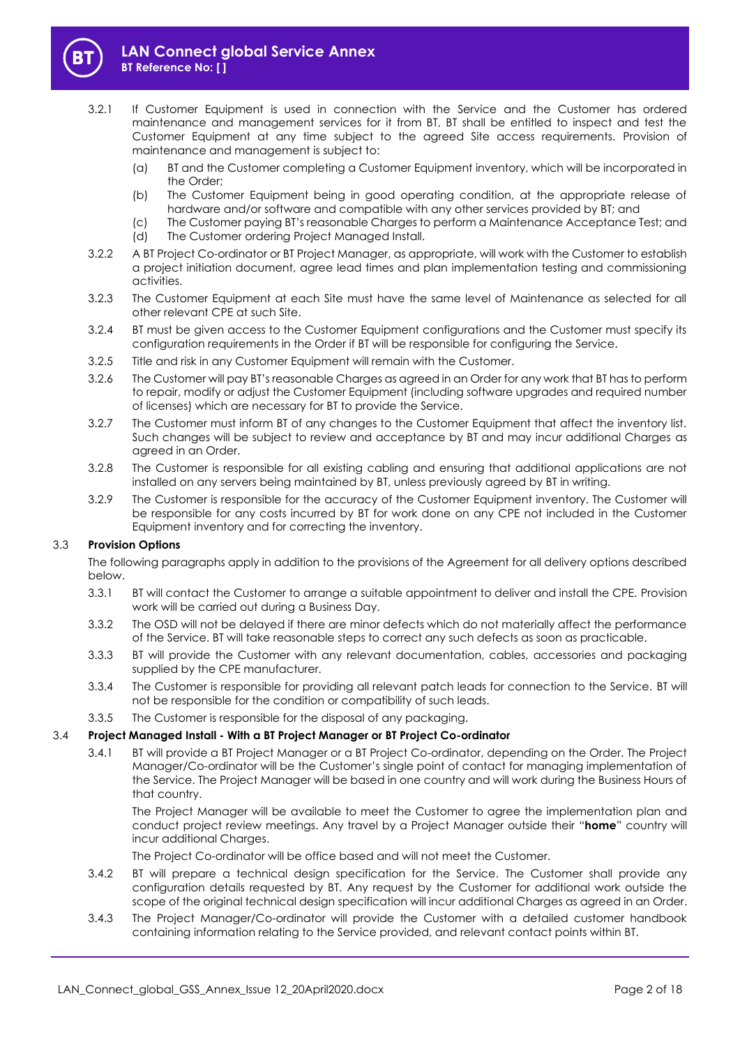

- 3.2.1 If Customer Equipment is used in connection with the Service and the Customer has ordered maintenance and management services for it from BT, BT shall be entitled to inspect and test the Customer Equipment at any time subject to the agreed Site access requirements. Provision of maintenance and management is subject to:
	- (a) BT and the Customer completing a Customer Equipment inventory, which will be incorporated in the Order;
	- (b) The Customer Equipment being in good operating condition, at the appropriate release of hardware and/or software and compatible with any other services provided by BT; and
	- (c) The Customer paying BT's reasonable Charges to perform a Maintenance Acceptance Test; and
	- (d) The Customer ordering Project Managed Install.
- 3.2.2 A BT Project Co-ordinator or BT Project Manager, as appropriate, will work with the Customer to establish a project initiation document, agree lead times and plan implementation testing and commissioning activities.
- 3.2.3 The Customer Equipment at each Site must have the same level of Maintenance as selected for all other relevant CPE at such Site.
- 3.2.4 BT must be given access to the Customer Equipment configurations and the Customer must specify its configuration requirements in the Order if BT will be responsible for configuring the Service.
- 3.2.5 Title and risk in any Customer Equipment will remain with the Customer.
- 3.2.6 The Customer will pay BT's reasonable Charges as agreed in an Order for any work that BT has to perform to repair, modify or adjust the Customer Equipment (including software upgrades and required number of licenses) which are necessary for BT to provide the Service.
- 3.2.7 The Customer must inform BT of any changes to the Customer Equipment that affect the inventory list. Such changes will be subject to review and acceptance by BT and may incur additional Charges as agreed in an Order.
- 3.2.8 The Customer is responsible for all existing cabling and ensuring that additional applications are not installed on any servers being maintained by BT, unless previously agreed by BT in writing.
- 3.2.9 The Customer is responsible for the accuracy of the Customer Equipment inventory. The Customer will be responsible for any costs incurred by BT for work done on any CPE not included in the Customer Equipment inventory and for correcting the inventory.

## 3.3 **Provision Options**

The following paragraphs apply in addition to the provisions of the Agreement for all delivery options described below.

- 3.3.1 BT will contact the Customer to arrange a suitable appointment to deliver and install the CPE. Provision work will be carried out during a Business Day.
- 3.3.2 The OSD will not be delayed if there are minor defects which do not materially affect the performance of the Service. BT will take reasonable steps to correct any such defects as soon as practicable.
- 3.3.3 BT will provide the Customer with any relevant documentation, cables, accessories and packaging supplied by the CPE manufacturer.
- 3.3.4 The Customer is responsible for providing all relevant patch leads for connection to the Service. BT will not be responsible for the condition or compatibility of such leads.
- 3.3.5 The Customer is responsible for the disposal of any packaging.

## 3.4 **Project Managed Install - With a BT Project Manager or BT Project Co-ordinator**

3.4.1 BT will provide a BT Project Manager or a BT Project Co-ordinator, depending on the Order. The Project Manager/Co-ordinator will be the Customer's single point of contact for managing implementation of the Service. The Project Manager will be based in one country and will work during the Business Hours of that country.

The Project Manager will be available to meet the Customer to agree the implementation plan and conduct project review meetings. Any travel by a Project Manager outside their "**home**" country will incur additional Charges.

The Project Co-ordinator will be office based and will not meet the Customer.

- 3.4.2 BT will prepare a technical design specification for the Service. The Customer shall provide any configuration details requested by BT. Any request by the Customer for additional work outside the scope of the original technical design specification will incur additional Charges as agreed in an Order.
- 3.4.3 The Project Manager/Co-ordinator will provide the Customer with a detailed customer handbook containing information relating to the Service provided, and relevant contact points within BT.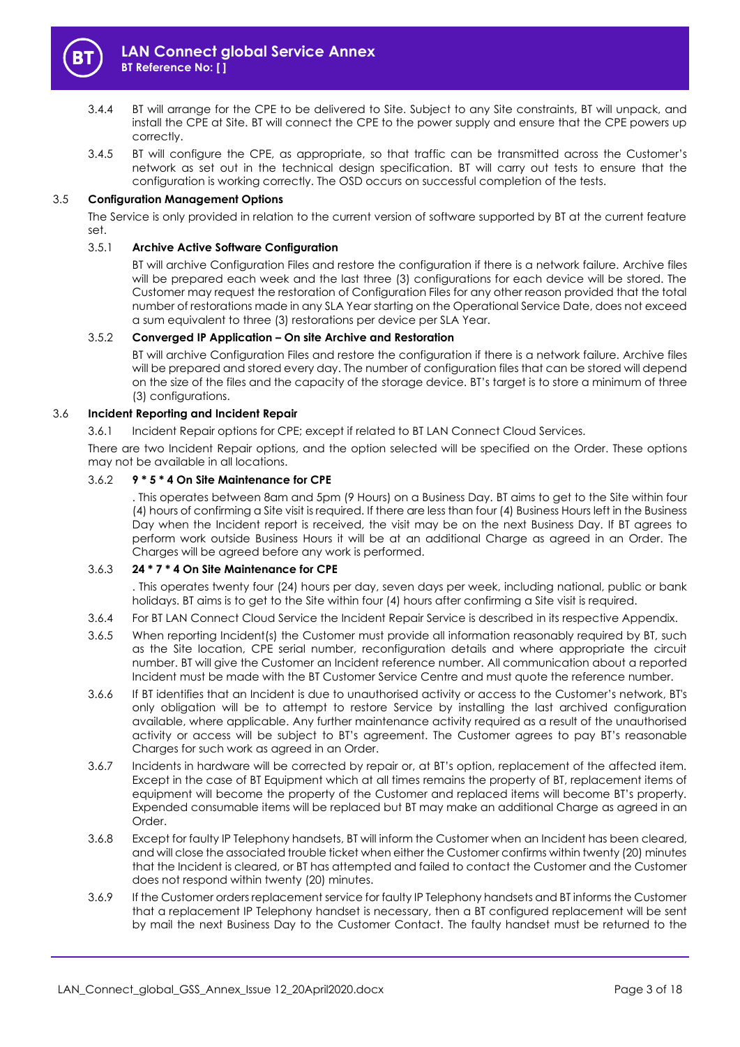

- 3.4.4 BT will arrange for the CPE to be delivered to Site. Subject to any Site constraints, BT will unpack, and install the CPE at Site. BT will connect the CPE to the power supply and ensure that the CPE powers up correctly.
- 3.4.5 BT will configure the CPE, as appropriate, so that traffic can be transmitted across the Customer's network as set out in the technical design specification. BT will carry out tests to ensure that the configuration is working correctly. The OSD occurs on successful completion of the tests.

## 3.5 **Configuration Management Options**

The Service is only provided in relation to the current version of software supported by BT at the current feature set.

## 3.5.1 **Archive Active Software Configuration**

BT will archive Configuration Files and restore the configuration if there is a network failure. Archive files will be prepared each week and the last three (3) configurations for each device will be stored. The Customer may request the restoration of Configuration Files for any other reason provided that the total number of restorations made in any SLA Year starting on the Operational Service Date, does not exceed a sum equivalent to three (3) restorations per device per SLA Year.

## <span id="page-2-0"></span>3.5.2 **Converged IP Application – On site Archive and Restoration**

BT will archive Configuration Files and restore the configuration if there is a network failure. Archive files will be prepared and stored every day. The number of configuration files that can be stored will depend on the size of the files and the capacity of the storage device. BT's target is to store a minimum of three (3) configurations.

## 3.6 **Incident Reporting and Incident Repair**

3.6.1 Incident Repair options for CPE; except if related to BT LAN Connect Cloud Services.

There are two Incident Repair options, and the option selected will be specified on the Order. These options may not be available in all locations.

## 3.6.2 **9 \* 5 \* 4 On Site Maintenance for CPE**

. This operates between 8am and 5pm (9 Hours) on a Business Day. BT aims to get to the Site within four (4) hours of confirming a Site visit is required. If there are less than four (4) Business Hours left in the Business Day when the Incident report is received, the visit may be on the next Business Day. If BT agrees to perform work outside Business Hours it will be at an additional Charge as agreed in an Order. The Charges will be agreed before any work is performed.

## 3.6.3 **24 \* 7 \* 4 On Site Maintenance for CPE**

. This operates twenty four (24) hours per day, seven days per week, including national, public or bank holidays. BT aims is to get to the Site within four (4) hours after confirming a Site visit is required.

- 3.6.4 For BT LAN Connect Cloud Service the Incident Repair Service is described in its respective Appendix.
- 3.6.5 When reporting Incident(s) the Customer must provide all information reasonably required by BT, such as the Site location, CPE serial number, reconfiguration details and where appropriate the circuit number. BT will give the Customer an Incident reference number. All communication about a reported Incident must be made with the BT Customer Service Centre and must quote the reference number.
- 3.6.6 If BT identifies that an Incident is due to unauthorised activity or access to the Customer's network, BT's only obligation will be to attempt to restore Service by installing the last archived configuration available, where applicable. Any further maintenance activity required as a result of the unauthorised activity or access will be subject to BT's agreement. The Customer agrees to pay BT's reasonable Charges for such work as agreed in an Order.
- 3.6.7 Incidents in hardware will be corrected by repair or, at BT's option, replacement of the affected item. Except in the case of BT Equipment which at all times remains the property of BT, replacement items of equipment will become the property of the Customer and replaced items will become BT's property. Expended consumable items will be replaced but BT may make an additional Charge as agreed in an Order.
- 3.6.8 Except for faulty IP Telephony handsets, BT will inform the Customer when an Incident has been cleared, and will close the associated trouble ticket when either the Customer confirms within twenty (20) minutes that the Incident is cleared, or BT has attempted and failed to contact the Customer and the Customer does not respond within twenty (20) minutes.
- 3.6.9 If the Customer orders replacement service for faulty IP Telephony handsets and BT informs the Customer that a replacement IP Telephony handset is necessary, then a BT configured replacement will be sent by mail the next Business Day to the Customer Contact. The faulty handset must be returned to the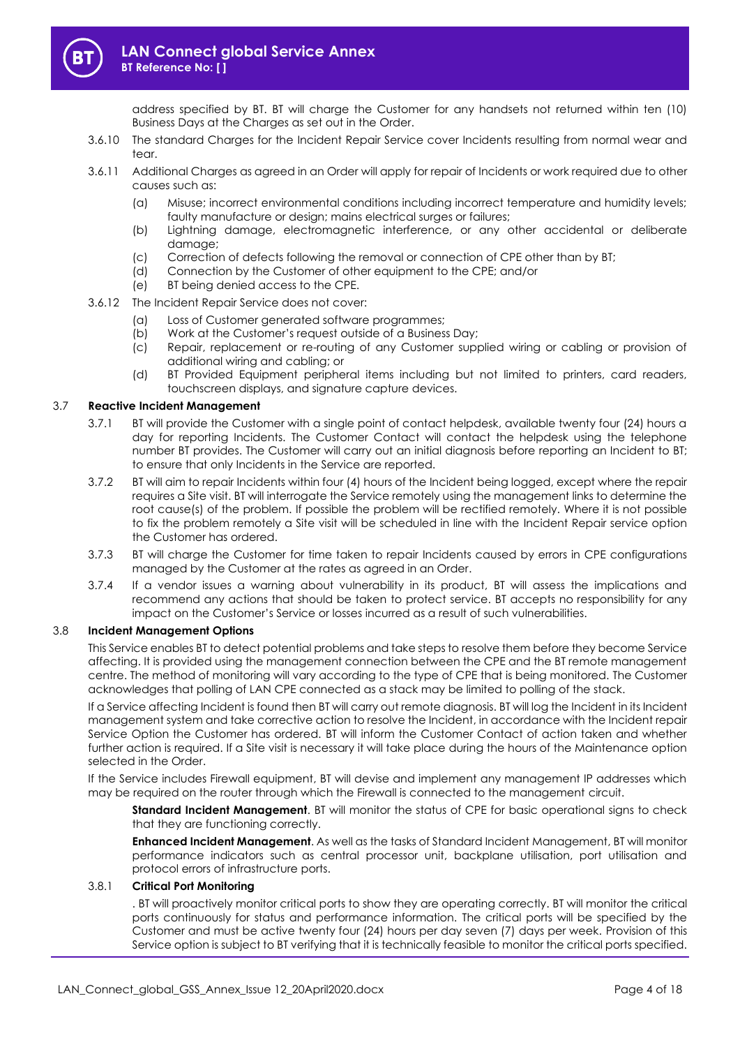

address specified by BT. BT will charge the Customer for any handsets not returned within ten (10) Business Days at the Charges as set out in the Order.

- 3.6.10 The standard Charges for the Incident Repair Service cover Incidents resulting from normal wear and tear.
- 3.6.11 Additional Charges as agreed in an Order will apply for repair of Incidents or work required due to other causes such as:
	- (a) Misuse; incorrect environmental conditions including incorrect temperature and humidity levels; faulty manufacture or desian; mains electrical surges or failures;
	- (b) Lightning damage, electromagnetic interference, or any other accidental or deliberate damage;
	- (c) Correction of defects following the removal or connection of CPE other than by BT;
	- (d) Connection by the Customer of other equipment to the CPE; and/or
	- (e) BT being denied access to the CPE.
- 3.6.12 The Incident Repair Service does not cover:
	- (a) Loss of Customer generated software programmes;
	- (b) Work at the Customer's request outside of a Business Day;
	- (c) Repair, replacement or re-routing of any Customer supplied wiring or cabling or provision of additional wiring and cabling; or
	- (d) BT Provided Equipment peripheral items including but not limited to printers, card readers, touchscreen displays, and signature capture devices.

#### 3.7 **Reactive Incident Management**

- 3.7.1 BT will provide the Customer with a single point of contact helpdesk, available twenty four (24) hours a day for reporting Incidents. The Customer Contact will contact the helpdesk using the telephone number BT provides. The Customer will carry out an initial diagnosis before reporting an Incident to BT; to ensure that only Incidents in the Service are reported.
- 3.7.2 BT will aim to repair Incidents within four (4) hours of the Incident being logged, except where the repair requires a Site visit. BT will interrogate the Service remotely using the management links to determine the root cause(s) of the problem. If possible the problem will be rectified remotely. Where it is not possible to fix the problem remotely a Site visit will be scheduled in line with the Incident Repair service option the Customer has ordered.
- 3.7.3 BT will charge the Customer for time taken to repair Incidents caused by errors in CPE configurations managed by the Customer at the rates as agreed in an Order.
- 3.7.4 If a vendor issues a warning about vulnerability in its product, BT will assess the implications and recommend any actions that should be taken to protect service. BT accepts no responsibility for any impact on the Customer's Service or losses incurred as a result of such vulnerabilities.

## 3.8 **Incident Management Options**

This Service enables BT to detect potential problems and take steps to resolve them before they become Service affecting. It is provided using the management connection between the CPE and the BT remote management centre. The method of monitoring will vary according to the type of CPE that is being monitored. The Customer acknowledges that polling of LAN CPE connected as a stack may be limited to polling of the stack.

If a Service affecting Incident is found then BT will carry out remote diagnosis. BT will log the Incident in its Incident management system and take corrective action to resolve the Incident, in accordance with the Incident repair Service Option the Customer has ordered. BT will inform the Customer Contact of action taken and whether further action is required. If a Site visit is necessary it will take place during the hours of the Maintenance option selected in the Order.

If the Service includes Firewall equipment, BT will devise and implement any management IP addresses which may be required on the router through which the Firewall is connected to the management circuit.

**Standard Incident Management**. BT will monitor the status of CPE for basic operational signs to check that they are functioning correctly.

**Enhanced Incident Management**. As well as the tasks of Standard Incident Management, BT will monitor performance indicators such as central processor unit, backplane utilisation, port utilisation and protocol errors of infrastructure ports.

#### 3.8.1 **Critical Port Monitoring**

. BT will proactively monitor critical ports to show they are operating correctly. BT will monitor the critical ports continuously for status and performance information. The critical ports will be specified by the Customer and must be active twenty four (24) hours per day seven (7) days per week. Provision of this Service option is subject to BT verifying that it is technically feasible to monitor the critical ports specified.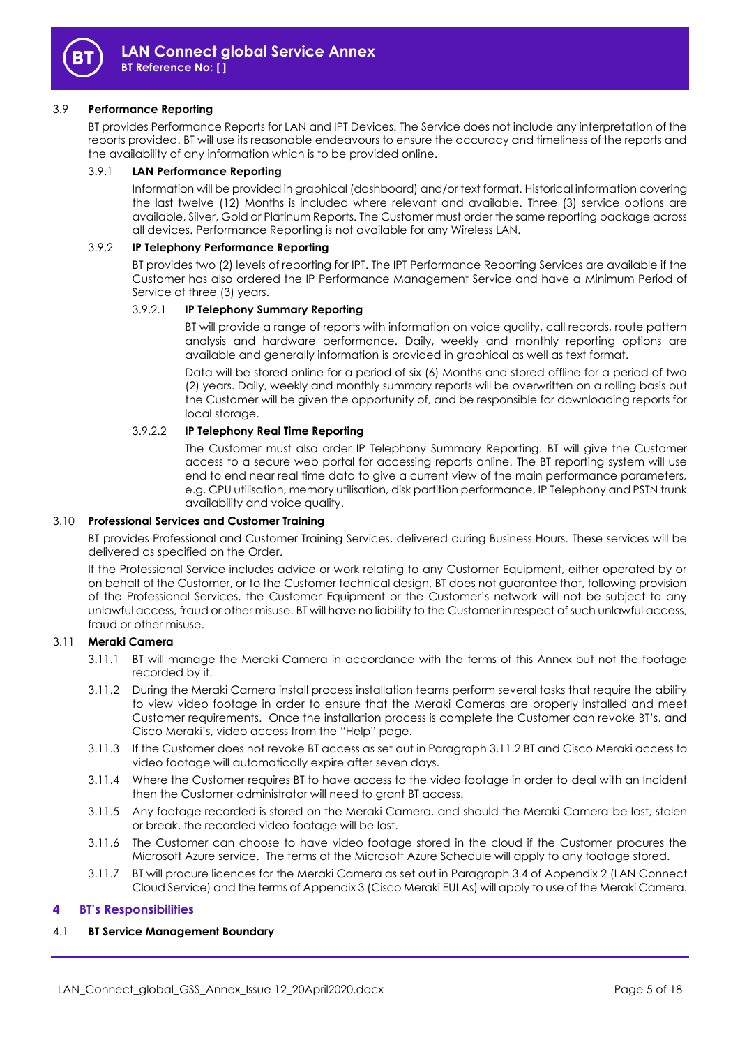

## 3.9 **Performance Reporting**

BT provides Performance Reports for LAN and IPT Devices. The Service does not include any interpretation of the reports provided. BT will use its reasonable endeavours to ensure the accuracy and timeliness of the reports and the availability of any information which is to be provided online.

## 3.9.1 **LAN Performance Reporting**

Information will be provided in graphical (dashboard) and/or text format. Historical information covering the last twelve (12) Months is included where relevant and available. Three (3) service options are available, Silver, Gold or Platinum Reports. The Customer must order the same reporting package across all devices. Performance Reporting is not available for any Wireless LAN.

#### 3.9.2 **IP Telephony Performance Reporting**

BT provides two (2) levels of reporting for IPT. The IPT Performance Reporting Services are available if the Customer has also ordered the IP Performance Management Service and have a Minimum Period of Service of three (3) years.

#### 3.9.2.1 **IP Telephony Summary Reporting**

BT will provide a range of reports with information on voice quality, call records, route pattern analysis and hardware performance. Daily, weekly and monthly reporting options are available and generally information is provided in graphical as well as text format.

Data will be stored online for a period of six (6) Months and stored offline for a period of two (2) years. Daily, weekly and monthly summary reports will be overwritten on a rolling basis but the Customer will be given the opportunity of, and be responsible for downloading reports for local storage.

## 3.9.2.2 **IP Telephony Real Time Reporting**

The Customer must also order IP Telephony Summary Reporting. BT will give the Customer access to a secure web portal for accessing reports online. The BT reporting system will use end to end near real time data to give a current view of the main performance parameters, e.g. CPU utilisation, memory utilisation, disk partition performance, IP Telephony and PSTN trunk availability and voice quality.

#### 3.10 **Professional Services and Customer Training**

BT provides Professional and Customer Training Services, delivered during Business Hours. These services will be delivered as specified on the Order.

If the Professional Service includes advice or work relating to any Customer Equipment, either operated by or on behalf of the Customer, or to the Customer technical design, BT does not guarantee that, following provision of the Professional Services, the Customer Equipment or the Customer's network will not be subject to any unlawful access, fraud or other misuse. BT will have no liability to the Customer in respect of such unlawful access, fraud or other misuse.

## 3.11 **Meraki Camera**

- 3.11.1 BT will manage the Meraki Camera in accordance with the terms of this Annex but not the footage recorded by it.
- <span id="page-4-0"></span>3.11.2 During the Meraki Camera install process installation teams perform several tasks that require the ability to view video footage in order to ensure that the Meraki Cameras are properly installed and meet Customer requirements. Once the installation process is complete the Customer can revoke BT's, and Cisco Meraki's, video access from the "Help" page.
- 3.11.3 If the Customer does not revoke BT access as set out in Paragraph [3.11.2](#page-4-0) BT and Cisco Meraki access to video footage will automatically expire after seven days.
- 3.11.4 Where the Customer requires BT to have access to the video footage in order to deal with an Incident then the Customer administrator will need to grant BT access.
- 3.11.5 Any footage recorded is stored on the Meraki Camera, and should the Meraki Camera be lost, stolen or break, the recorded video footage will be lost.
- 3.11.6 The Customer can choose to have video footage stored in the cloud if the Customer procures the Microsoft Azure service. The terms of the Microsoft Azure Schedule will apply to any footage stored.
- 3.11.7 BT will procure licences for the Meraki Camera as set out in Paragraph 3.4 of Appendix 2 (LAN Connect Cloud Service) and the terms of Appendix 3 (Cisco Meraki EULAs) will apply to use of the Meraki Camera.

## **4 BT's Responsibilities**

## 4.1 **BT Service Management Boundary**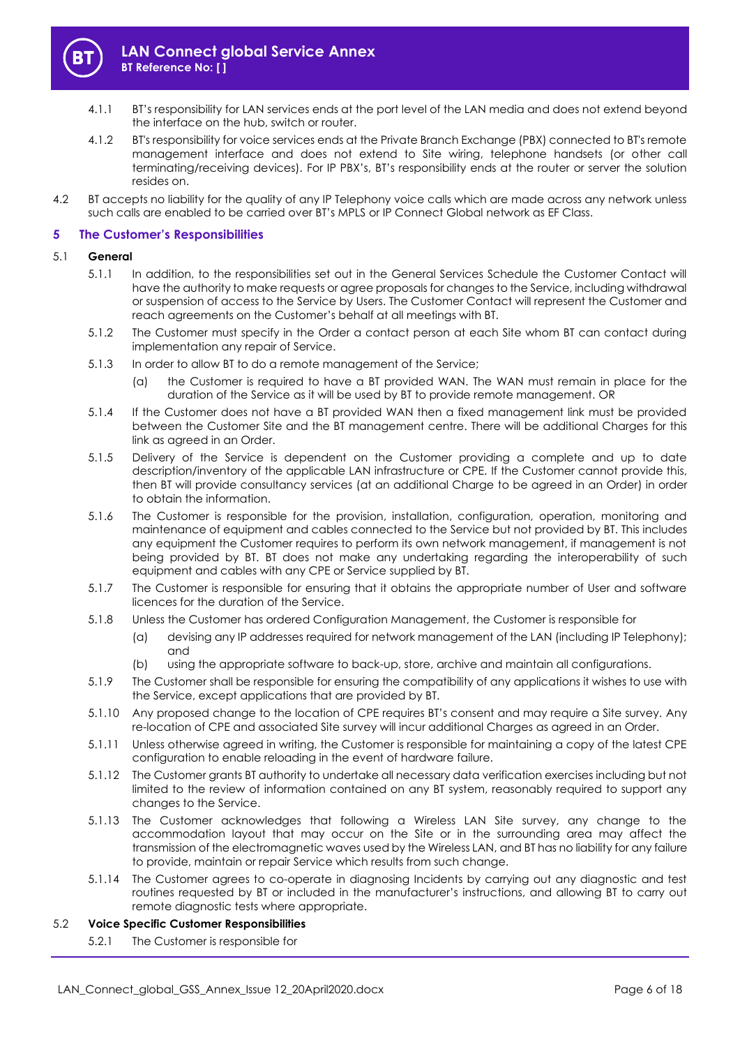

- 4.1.1 BT's responsibility for LAN services ends at the port level of the LAN media and does not extend beyond the interface on the hub, switch or router.
- 4.1.2 BT's responsibility for voice services ends at the Private Branch Exchange (PBX) connected to BT's remote management interface and does not extend to Site wiring, telephone handsets (or other call terminating/receiving devices). For IP PBX's, BT's responsibility ends at the router or server the solution resides on.
- 4.2 BT accepts no liability for the quality of any IP Telephony voice calls which are made across any network unless such calls are enabled to be carried over BT's MPLS or IP Connect Global network as EF Class.

## **5 The Customer's Responsibilities**

#### 5.1 **General**

- 5.1.1 In addition, to the responsibilities set out in the General Services Schedule the Customer Contact will have the authority to make requests or agree proposals for changes to the Service, including withdrawal or suspension of access to the Service by Users. The Customer Contact will represent the Customer and reach agreements on the Customer's behalf at all meetings with BT.
- 5.1.2 The Customer must specify in the Order a contact person at each Site whom BT can contact during implementation any repair of Service.
- 5.1.3 In order to allow BT to do a remote management of the Service;
	- (a) the Customer is required to have a BT provided WAN. The WAN must remain in place for the duration of the Service as it will be used by BT to provide remote management. OR
- 5.1.4 If the Customer does not have a BT provided WAN then a fixed management link must be provided between the Customer Site and the BT management centre. There will be additional Charges for this link as agreed in an Order.
- 5.1.5 Delivery of the Service is dependent on the Customer providing a complete and up to date description/inventory of the applicable LAN infrastructure or CPE. If the Customer cannot provide this, then BT will provide consultancy services (at an additional Charge to be agreed in an Order) in order to obtain the information.
- 5.1.6 The Customer is responsible for the provision, installation, configuration, operation, monitoring and maintenance of equipment and cables connected to the Service but not provided by BT. This includes any equipment the Customer requires to perform its own network management, if management is not being provided by BT. BT does not make any undertaking regarding the interoperability of such equipment and cables with any CPE or Service supplied by BT.
- 5.1.7 The Customer is responsible for ensuring that it obtains the appropriate number of User and software licences for the duration of the Service.
- 5.1.8 Unless the Customer has ordered Configuration Management, the Customer is responsible for
	- (a) devising any IP addresses required for network management of the LAN (including IP Telephony); and
	- (b) using the appropriate software to back-up, store, archive and maintain all configurations.
- 5.1.9 The Customer shall be responsible for ensuring the compatibility of any applications it wishes to use with the Service, except applications that are provided by BT.
- 5.1.10 Any proposed change to the location of CPE requires BT's consent and may require a Site survey. Any re-location of CPE and associated Site survey will incur additional Charges as agreed in an Order.
- 5.1.11 Unless otherwise agreed in writing, the Customer is responsible for maintaining a copy of the latest CPE configuration to enable reloading in the event of hardware failure.
- 5.1.12 The Customer grants BT authority to undertake all necessary data verification exercises including but not limited to the review of information contained on any BT system, reasonably required to support any changes to the Service.
- 5.1.13 The Customer acknowledges that following a Wireless LAN Site survey, any change to the accommodation layout that may occur on the Site or in the surrounding area may affect the transmission of the electromagnetic waves used by the Wireless LAN, and BT has no liability for any failure to provide, maintain or repair Service which results from such change.
- 5.1.14 The Customer agrees to co-operate in diagnosing Incidents by carrying out any diagnostic and test routines requested by BT or included in the manufacturer's instructions, and allowing BT to carry out remote diagnostic tests where appropriate.

## 5.2 **Voice Specific Customer Responsibilities**

5.2.1 The Customer is responsible for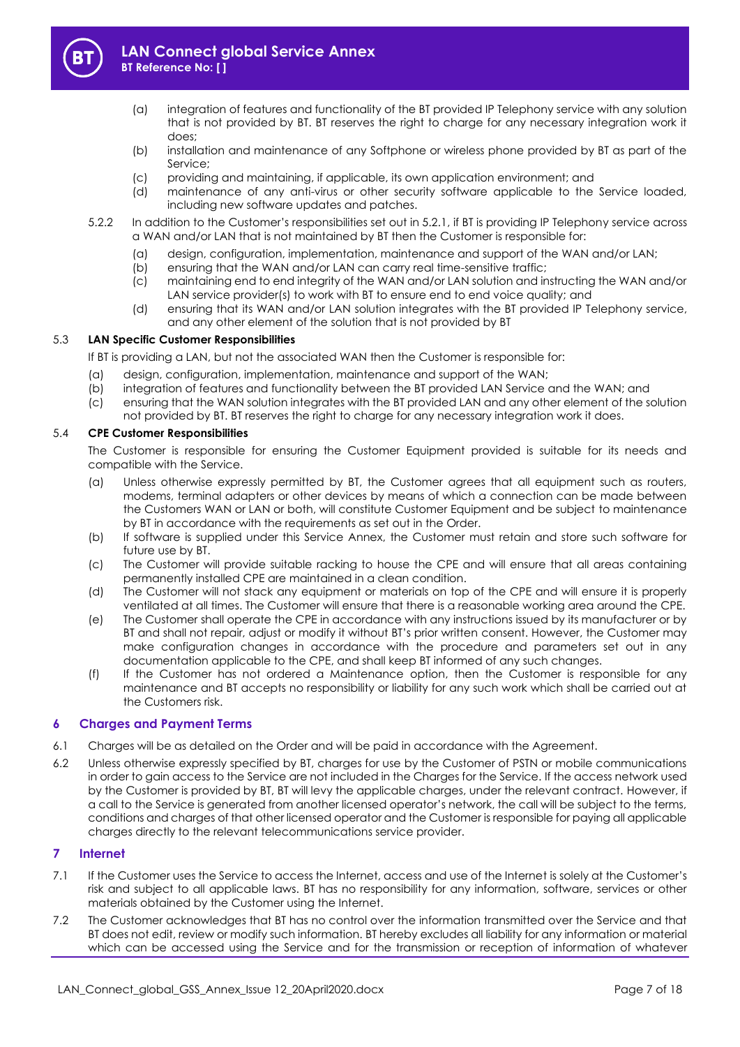

- (a) integration of features and functionality of the BT provided IP Telephony service with any solution that is not provided by BT. BT reserves the right to charge for any necessary integration work it does;
- (b) installation and maintenance of any Softphone or wireless phone provided by BT as part of the Service;
- (c) providing and maintaining, if applicable, its own application environment; and
- (d) maintenance of any anti-virus or other security software applicable to the Service loaded, including new software updates and patches.
- 5.2.2 In addition to the Customer's responsibilities set out in 5.2.1, if BT is providing IP Telephony service across a WAN and/or LAN that is not maintained by BT then the Customer is responsible for:
	- (a) design, configuration, implementation, maintenance and support of the WAN and/or LAN;
	- (b) ensuring that the WAN and/or LAN can carry real time-sensitive traffic;
	- (c) maintaining end to end integrity of the WAN and/or LAN solution and instructing the WAN and/or LAN service provider(s) to work with BT to ensure end to end voice quality; and
	- (d) ensuring that its WAN and/or LAN solution integrates with the BT provided IP Telephony service, and any other element of the solution that is not provided by BT

## 5.3 **LAN Specific Customer Responsibilities**

If BT is providing a LAN, but not the associated WAN then the Customer is responsible for:

- (a) design, configuration, implementation, maintenance and support of the WAN;
- 
- (b) integration of features and functionality between the BT provided LAN Service and the WAN; and (c) ensuring that the WAN solution integrates with the BT provided LAN and any other element of the solution ensuring that the WAN solution integrates with the BT provided LAN and any other element of the solution not provided by BT. BT reserves the right to charge for any necessary integration work it does.

## 5.4 **CPE Customer Responsibilities**

The Customer is responsible for ensuring the Customer Equipment provided is suitable for its needs and compatible with the Service.

- (a) Unless otherwise expressly permitted by BT, the Customer agrees that all equipment such as routers, modems, terminal adapters or other devices by means of which a connection can be made between the Customers WAN or LAN or both, will constitute Customer Equipment and be subject to maintenance by BT in accordance with the requirements as set out in the Order.
- (b) If software is supplied under this Service Annex, the Customer must retain and store such software for future use by BT.
- (c) The Customer will provide suitable racking to house the CPE and will ensure that all areas containing permanently installed CPE are maintained in a clean condition.
- (d) The Customer will not stack any equipment or materials on top of the CPE and will ensure it is properly ventilated at all times. The Customer will ensure that there is a reasonable working area around the CPE.
- (e) The Customer shall operate the CPE in accordance with any instructions issued by its manufacturer or by BT and shall not repair, adjust or modify it without BT's prior written consent. However, the Customer may make configuration changes in accordance with the procedure and parameters set out in any documentation applicable to the CPE, and shall keep BT informed of any such changes.
- (f) If the Customer has not ordered a Maintenance option, then the Customer is responsible for any maintenance and BT accepts no responsibility or liability for any such work which shall be carried out at the Customers risk.

## **6 Charges and Payment Terms**

- 6.1 Charges will be as detailed on the Order and will be paid in accordance with the Agreement.
- 6.2 Unless otherwise expressly specified by BT, charges for use by the Customer of PSTN or mobile communications in order to gain access to the Service are not included in the Charges for the Service. If the access network used by the Customer is provided by BT, BT will levy the applicable charges, under the relevant contract. However, if a call to the Service is generated from another licensed operator's network, the call will be subject to the terms, conditions and charges of that other licensed operator and the Customer is responsible for paying all applicable charges directly to the relevant telecommunications service provider.

## **7 Internet**

- 7.1 If the Customer uses the Service to access the Internet, access and use of the Internet is solely at the Customer's risk and subject to all applicable laws. BT has no responsibility for any information, software, services or other materials obtained by the Customer using the Internet.
- 7.2 The Customer acknowledges that BT has no control over the information transmitted over the Service and that BT does not edit, review or modify such information. BT hereby excludes all liability for any information or material which can be accessed using the Service and for the transmission or reception of information of whatever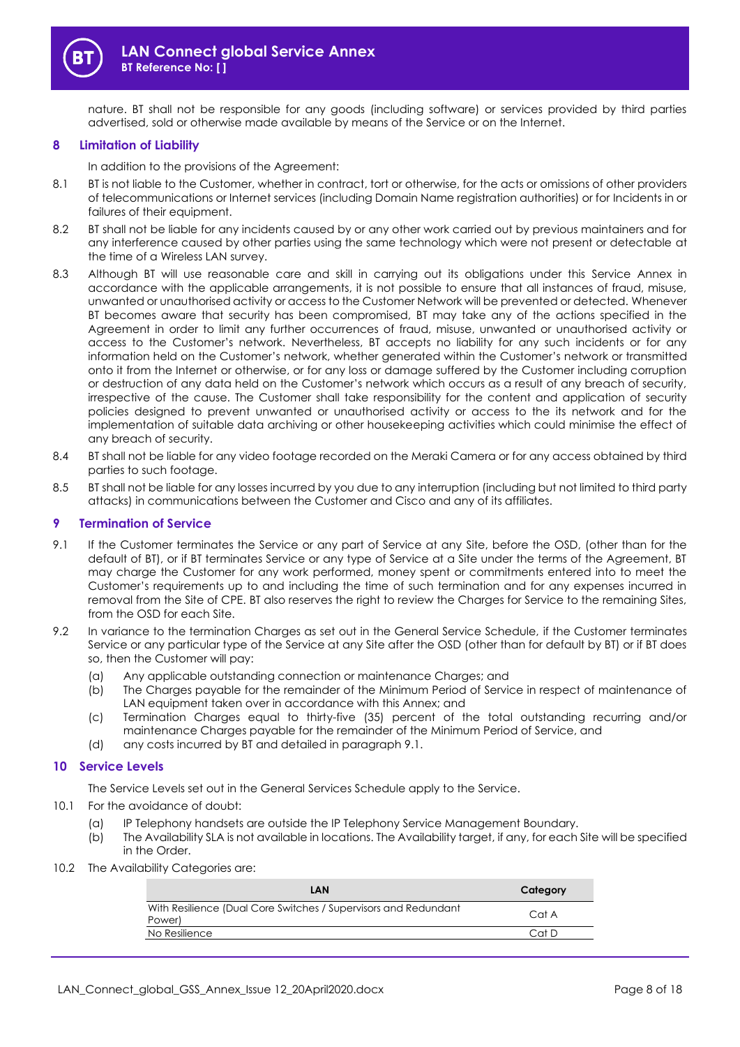

nature. BT shall not be responsible for any goods (including software) or services provided by third parties advertised, sold or otherwise made available by means of the Service or on the Internet.

## **8 Limitation of Liability**

In addition to the provisions of the Agreement:

- 8.1 BT is not liable to the Customer, whether in contract, tort or otherwise, for the acts or omissions of other providers of telecommunications or Internet services (including Domain Name registration authorities) or for Incidents in or failures of their equipment.
- 8.2 BT shall not be liable for any incidents caused by or any other work carried out by previous maintainers and for any interference caused by other parties using the same technology which were not present or detectable at the time of a Wireless LAN survey.
- 8.3 Although BT will use reasonable care and skill in carrying out its obligations under this Service Annex in accordance with the applicable arrangements, it is not possible to ensure that all instances of fraud, misuse, unwanted or unauthorised activity or access to the Customer Network will be prevented or detected. Whenever BT becomes aware that security has been compromised, BT may take any of the actions specified in the Agreement in order to limit any further occurrences of fraud, misuse, unwanted or unauthorised activity or access to the Customer's network. Nevertheless, BT accepts no liability for any such incidents or for any information held on the Customer's network, whether generated within the Customer's network or transmitted onto it from the Internet or otherwise, or for any loss or damage suffered by the Customer including corruption or destruction of any data held on the Customer's network which occurs as a result of any breach of security, irrespective of the cause. The Customer shall take responsibility for the content and application of security policies designed to prevent unwanted or unauthorised activity or access to the its network and for the implementation of suitable data archiving or other housekeeping activities which could minimise the effect of any breach of security.
- 8.4 BT shall not be liable for any video footage recorded on the Meraki Camera or for any access obtained by third parties to such footage.
- 8.5 BT shall not be liable for any losses incurred by you due to any interruption (including but not limited to third party attacks) in communications between the Customer and Cisco and any of its affiliates.

#### **9 Termination of Service**

- <span id="page-7-0"></span>9.1 If the Customer terminates the Service or any part of Service at any Site, before the OSD, (other than for the default of BT), or if BT terminates Service or any type of Service at a Site under the terms of the Agreement, BT may charge the Customer for any work performed, money spent or commitments entered into to meet the Customer's requirements up to and including the time of such termination and for any expenses incurred in removal from the Site of CPE. BT also reserves the right to review the Charges for Service to the remaining Sites, from the OSD for each Site.
- 9.2 In variance to the termination Charges as set out in the General Service Schedule, if the Customer terminates Service or any particular type of the Service at any Site after the OSD (other than for default by BT) or if BT does so, then the Customer will pay:
	- (a) Any applicable outstanding connection or maintenance Charges; and
	- (b) The Charges payable for the remainder of the Minimum Period of Service in respect of maintenance of LAN equipment taken over in accordance with this Annex; and
	- (c) Termination Charges equal to thirty-five (35) percent of the total outstanding recurring and/or maintenance Charges payable for the remainder of the Minimum Period of Service, and
	- (d) any costs incurred by BT and detailed in paragrap[h 9.1.](#page-7-0)

## **10 Service Levels**

The Service Levels set out in the General Services Schedule apply to the Service.

- 10.1 For the avoidance of doubt:
	- (a) IP Telephony handsets are outside the IP Telephony Service Management Boundary.
	- (b) The Availability SLA is not available in locations. The Availability target, if any, for each Site will be specified in the Order.
- 10.2 The Availability Categories are:

| LAN                                                                       | Category |
|---------------------------------------------------------------------------|----------|
| With Resilience (Dual Core Switches / Supervisors and Redundant<br>Power) | CotA     |
| No Resilience                                                             | Cat D    |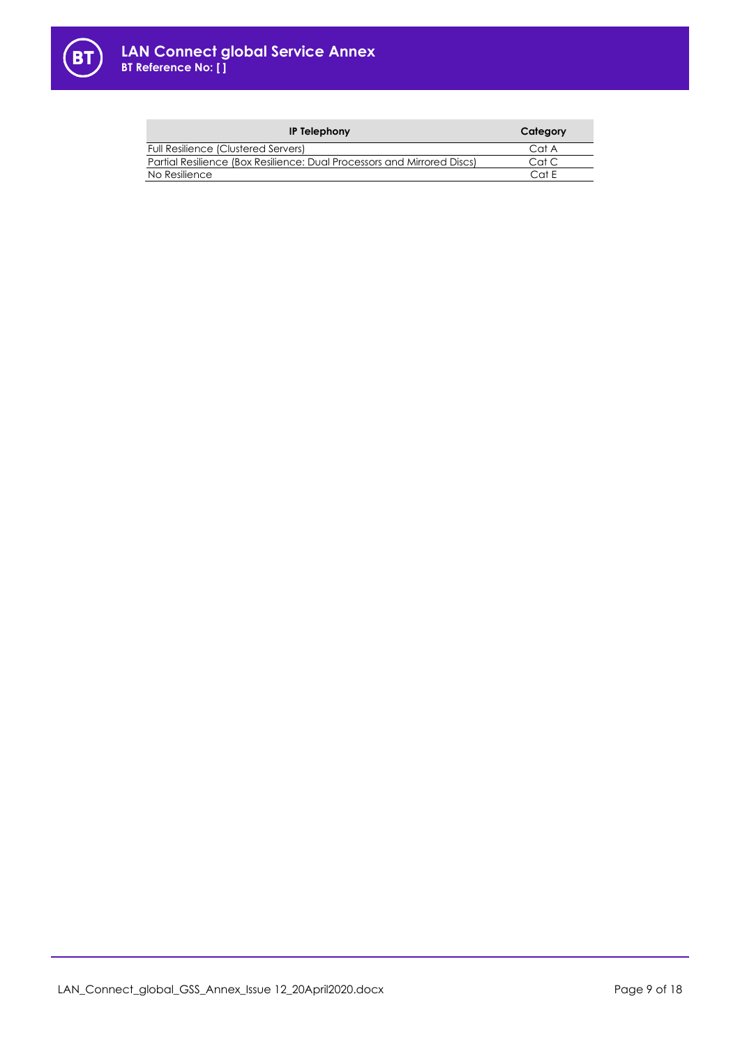

| <b>IP Telephony</b>                                                     | Category |
|-------------------------------------------------------------------------|----------|
| Full Resilience (Clustered Servers)                                     | Cat A    |
| Partial Resilience (Box Resilience: Dual Processors and Mirrored Discs) | Cat C    |
| No Resilience                                                           | Cat E    |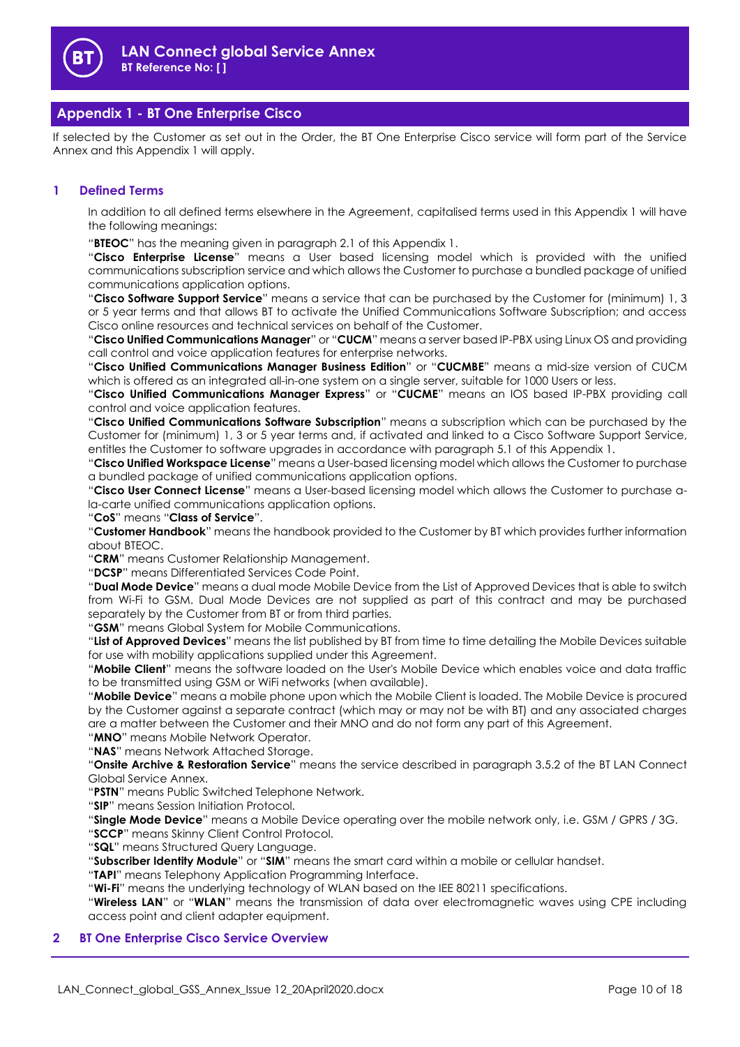

# **Appendix 1 - BT One Enterprise Cisco**

If selected by the Customer as set out in the Order, the BT One Enterprise Cisco service will form part of the Service Annex and this Appendix 1 will apply.

## **1 Defined Terms**

In addition to all defined terms elsewhere in the Agreement, capitalised terms used in this Appendix 1 will have the following meanings:

"**BTEOC**" has the meaning given in paragrap[h 2.1](#page-10-0) of this Appendix 1.

"**Cisco Enterprise License**" means a User based licensing model which is provided with the unified communications subscription service and which allows the Customer to purchase a bundled package of unified communications application options.

"**Cisco Software Support Service**" means a service that can be purchased by the Customer for (minimum) 1, 3 or 5 year terms and that allows BT to activate the Unified Communications Software Subscription; and access Cisco online resources and technical services on behalf of the Customer.

"**Cisco Unified Communications Manager**" or "**CUCM**" means a server based IP-PBX using Linux OS and providing call control and voice application features for enterprise networks.

"**Cisco Unified Communications Manager Business Edition**" or "**CUCMBE**" means a mid-size version of CUCM which is offered as an integrated all-in-one system on a single server, suitable for 1000 Users or less.

"**Cisco Unified Communications Manager Express**" or "**CUCME**" means an IOS based IP-PBX providing call control and voice application features.

"**Cisco Unified Communications Software Subscription**" means a subscription which can be purchased by the Customer for (minimum) 1, 3 or 5 year terms and, if activated and linked to a Cisco Software Support Service, entitles the Customer to software upgrades in accordance with paragraph [5.1](#page-11-0) of this Appendix 1.

"**Cisco Unified Workspace License**" means a User-based licensing model which allows the Customer to purchase a bundled package of unified communications application options.

"**Cisco User Connect License**" means a User-based licensing model which allows the Customer to purchase ala-carte unified communications application options.

"**CoS**" means "**Class of Service**".

"**Customer Handbook**" means the handbook provided to the Customer by BT which provides further information about BTEOC.

"**CRM**" means Customer Relationship Management.

"**DCSP**" means Differentiated Services Code Point.

"**Dual Mode Device**" means a dual mode Mobile Device from the List of Approved Devices that is able to switch from Wi-Fi to GSM. Dual Mode Devices are not supplied as part of this contract and may be purchased separately by the Customer from BT or from third parties.

"**GSM**" means Global System for Mobile Communications.

"**List of Approved Devices**" means the list published by BT from time to time detailing the Mobile Devices suitable for use with mobility applications supplied under this Agreement.

"**Mobile Client**" means the software loaded on the User's Mobile Device which enables voice and data traffic to be transmitted using GSM or WiFi networks (when available).

"**Mobile Device**" means a mobile phone upon which the Mobile Client is loaded. The Mobile Device is procured by the Customer against a separate contract (which may or may not be with BT) and any associated charges are a matter between the Customer and their MNO and do not form any part of this Agreement.

"**MNO**" means Mobile Network Operator.

"**NAS**" means Network Attached Storage.

"**Onsite Archive & Restoration Service**" means the service described in paragraph [3.5.2](#page-2-0) of the BT LAN Connect Global Service Annex.

"**PSTN**" means Public Switched Telephone Network.

"**SIP**" means Session Initiation Protocol.

"**Single Mode Device**" means a Mobile Device operating over the mobile network only, i.e. GSM / GPRS / 3G.

"**SCCP**" means Skinny Client Control Protocol.

"**SQL**" means Structured Query Language.

"**Subscriber Identity Module**" or "**SIM**" means the smart card within a mobile or cellular handset.

"**TAPI**" means Telephony Application Programming Interface.

"**Wi-Fi**" means the underlying technology of WLAN based on the IEE 80211 specifications.

"**Wireless LAN**" or "**WLAN**" means the transmission of data over electromagnetic waves using CPE including access point and client adapter equipment.

## **2 BT One Enterprise Cisco Service Overview**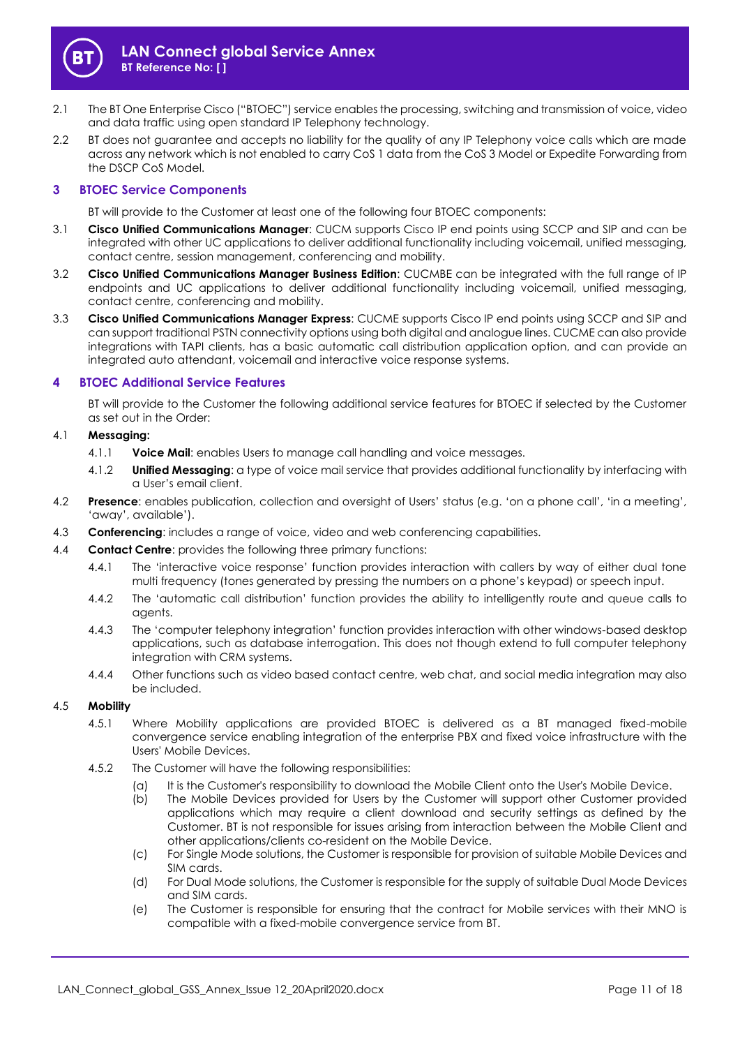

- <span id="page-10-0"></span>2.1 The BT One Enterprise Cisco ("BTOEC") service enables the processing, switching and transmission of voice, video and data traffic using open standard IP Telephony technology.
- 2.2 BT does not guarantee and accepts no liability for the quality of any IP Telephony voice calls which are made across any network which is not enabled to carry CoS 1 data from the CoS 3 Model or Expedite Forwarding from the DSCP CoS Model.

## **3 BTOEC Service Components**

BT will provide to the Customer at least one of the following four BTOEC components:

- 3.1 **Cisco Unified Communications Manager**: CUCM supports Cisco IP end points using SCCP and SIP and can be integrated with other UC applications to deliver additional functionality including voicemail, unified messaging, contact centre, session management, conferencing and mobility.
- 3.2 **Cisco Unified Communications Manager Business Edition**: CUCMBE can be integrated with the full range of IP endpoints and UC applications to deliver additional functionality including voicemail, unified messaging, contact centre, conferencing and mobility.
- 3.3 **Cisco Unified Communications Manager Express**: CUCME supports Cisco IP end points using SCCP and SIP and can support traditional PSTN connectivity options using both digital and analogue lines. CUCME can also provide integrations with TAPI clients, has a basic automatic call distribution application option, and can provide an integrated auto attendant, voicemail and interactive voice response systems.

## **4 BTOEC Additional Service Features**

BT will provide to the Customer the following additional service features for BTOEC if selected by the Customer as set out in the Order:

## 4.1 **Messaging:**

- 4.1.1 **Voice Mail**: enables Users to manage call handling and voice messages.
- 4.1.2 **Unified Messaging**: a type of voice mail service that provides additional functionality by interfacing with a User's email client.
- 4.2 **Presence**: enables publication, collection and oversight of Users' status (e.g. 'on a phone call', 'in a meeting', 'away', available').
- 4.3 **Conferencing**: includes a range of voice, video and web conferencing capabilities.
- 4.4 **Contact Centre**: provides the following three primary functions:
	- 4.4.1 The 'interactive voice response' function provides interaction with callers by way of either dual tone multi frequency (tones generated by pressing the numbers on a phone's keypad) or speech input.
	- 4.4.2 The 'automatic call distribution' function provides the ability to intelligently route and queue calls to agents.
	- 4.4.3 The 'computer telephony integration' function provides interaction with other windows-based desktop applications, such as database interrogation. This does not though extend to full computer telephony integration with CRM systems.
	- 4.4.4 Other functions such as video based contact centre, web chat, and social media integration may also be included.

## 4.5 **Mobility**

- 4.5.1 Where Mobility applications are provided BTOEC is delivered as a BT managed fixed-mobile convergence service enabling integration of the enterprise PBX and fixed voice infrastructure with the Users' Mobile Devices.
- 4.5.2 The Customer will have the following responsibilities:
	- (a) It is the Customer's responsibility to download the Mobile Client onto the User's Mobile Device.
	- (b) The Mobile Devices provided for Users by the Customer will support other Customer provided applications which may require a client download and security settings as defined by the Customer. BT is not responsible for issues arising from interaction between the Mobile Client and other applications/clients co-resident on the Mobile Device.
	- (c) For Single Mode solutions, the Customer is responsible for provision of suitable Mobile Devices and SIM cards.
	- (d) For Dual Mode solutions, the Customer is responsible for the supply of suitable Dual Mode Devices and SIM cards.
	- (e) The Customer is responsible for ensuring that the contract for Mobile services with their MNO is compatible with a fixed-mobile convergence service from BT.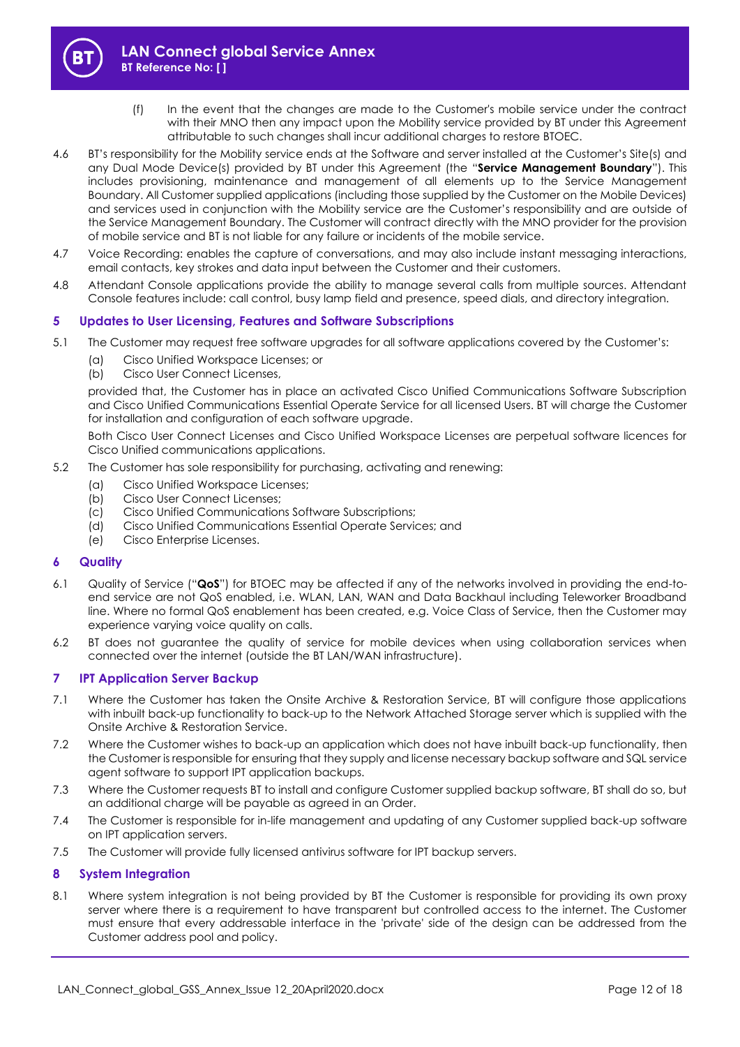

- (f) In the event that the changes are made to the Customer's mobile service under the contract with their MNO then any impact upon the Mobility service provided by BT under this Agreement attributable to such changes shall incur additional charges to restore BTOEC.
- 4.6 BT's responsibility for the Mobility service ends at the Software and server installed at the Customer's Site(s) and any Dual Mode Device(s) provided by BT under this Agreement (the "**Service Management Boundary**"). This includes provisioning, maintenance and management of all elements up to the Service Management Boundary. All Customer supplied applications (including those supplied by the Customer on the Mobile Devices) and services used in conjunction with the Mobility service are the Customer's responsibility and are outside of the Service Management Boundary. The Customer will contract directly with the MNO provider for the provision of mobile service and BT is not liable for any failure or incidents of the mobile service.
- 4.7 Voice Recording: enables the capture of conversations, and may also include instant messaging interactions, email contacts, key strokes and data input between the Customer and their customers.
- 4.8 Attendant Console applications provide the ability to manage several calls from multiple sources. Attendant Console features include: call control, busy lamp field and presence, speed dials, and directory integration.

## **5 Updates to User Licensing, Features and Software Subscriptions**

- <span id="page-11-0"></span>5.1 The Customer may request free software upgrades for all software applications covered by the Customer's:
	- (a) Cisco Unified Workspace Licenses; or
	- (b) Cisco User Connect Licenses,

provided that, the Customer has in place an activated Cisco Unified Communications Software Subscription and Cisco Unified Communications Essential Operate Service for all licensed Users. BT will charge the Customer for installation and configuration of each software upgrade.

Both Cisco User Connect Licenses and Cisco Unified Workspace Licenses are perpetual software licences for Cisco Unified communications applications.

- 5.2 The Customer has sole responsibility for purchasing, activating and renewing:
	- (a) Cisco Unified Workspace Licenses;
	- (b) Cisco User Connect Licenses;
	- (c) Cisco Unified Communications Software Subscriptions;
	- (d) Cisco Unified Communications Essential Operate Services; and
	- (e) Cisco Enterprise Licenses.

## **6 Quality**

- 6.1 Quality of Service ("**QoS**") for BTOEC may be affected if any of the networks involved in providing the end-toend service are not QoS enabled, i.e. WLAN, LAN, WAN and Data Backhaul including Teleworker Broadband line. Where no formal QoS enablement has been created, e.g. Voice Class of Service, then the Customer may experience varying voice quality on calls.
- 6.2 BT does not guarantee the quality of service for mobile devices when using collaboration services when connected over the internet (outside the BT LAN/WAN infrastructure).

## **7 IPT Application Server Backup**

- 7.1 Where the Customer has taken the Onsite Archive & Restoration Service, BT will configure those applications with inbuilt back-up functionality to back-up to the Network Attached Storage server which is supplied with the Onsite Archive & Restoration Service.
- 7.2 Where the Customer wishes to back-up an application which does not have inbuilt back-up functionality, then the Customer is responsible for ensuring that they supply and license necessary backup software and SQL service agent software to support IPT application backups.
- 7.3 Where the Customer requests BT to install and configure Customer supplied backup software, BT shall do so, but an additional charge will be payable as agreed in an Order.
- 7.4 The Customer is responsible for in-life management and updating of any Customer supplied back-up software on IPT application servers.
- 7.5 The Customer will provide fully licensed antivirus software for IPT backup servers.

## **8 System Integration**

8.1 Where system integration is not being provided by BT the Customer is responsible for providing its own proxy server where there is a requirement to have transparent but controlled access to the internet. The Customer must ensure that every addressable interface in the 'private' side of the design can be addressed from the Customer address pool and policy.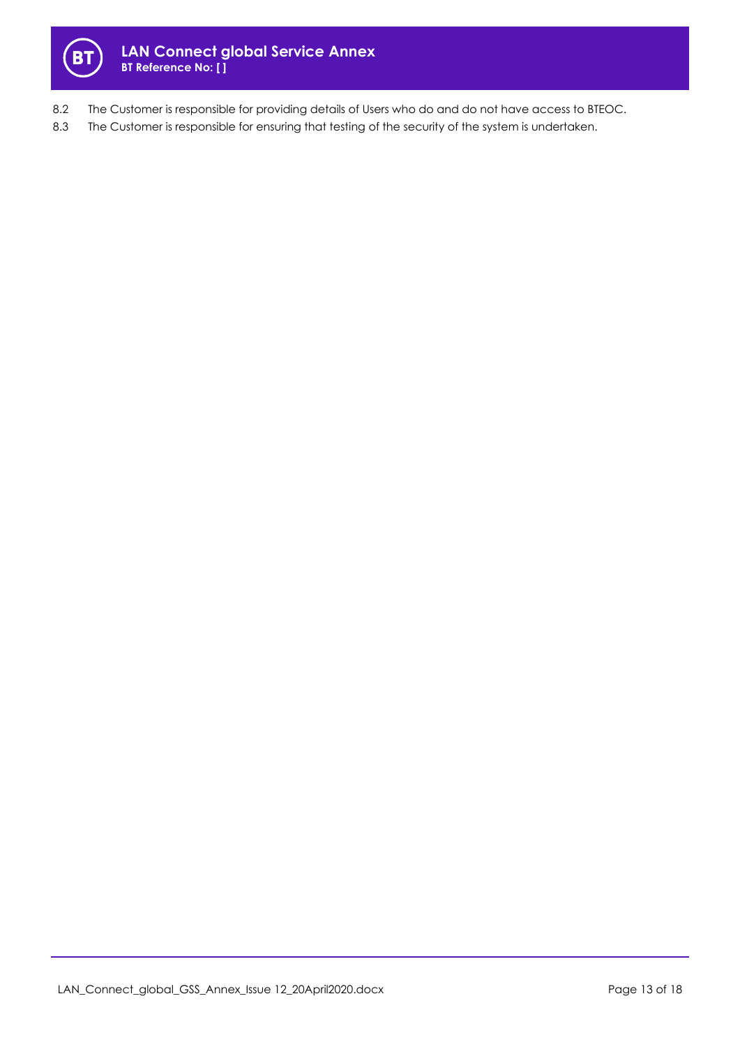

- 8.2 The Customer is responsible for providing details of Users who do and do not have access to BTEOC.
- 8.3 The Customer is responsible for ensuring that testing of the security of the system is undertaken.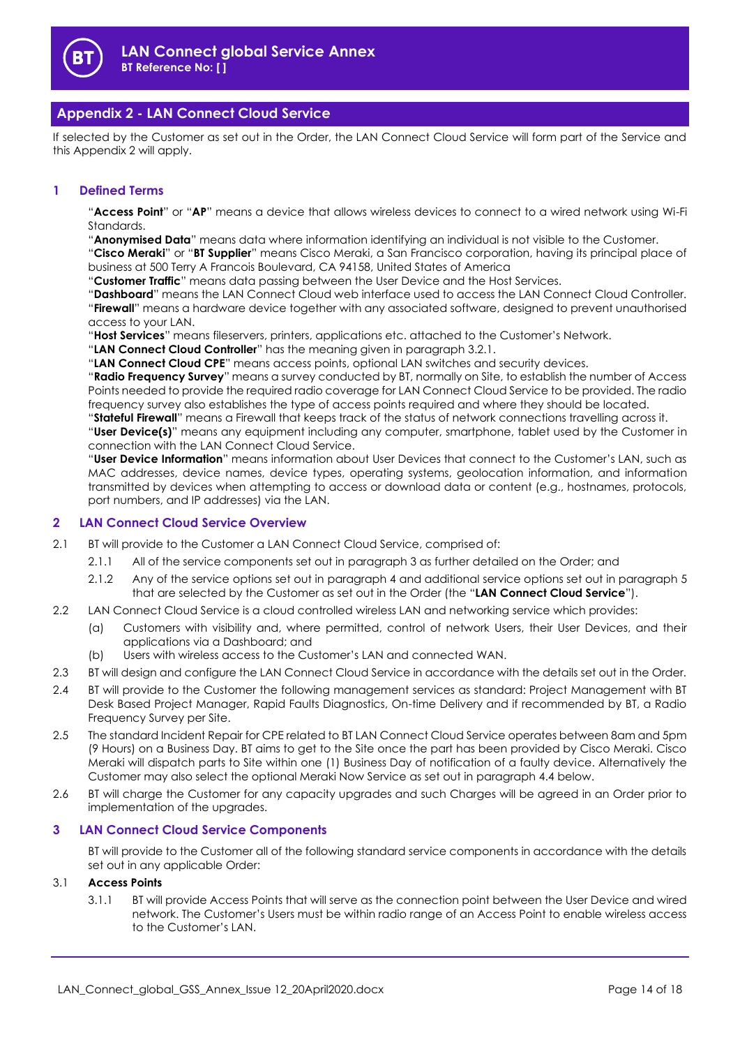

# **Appendix 2 - LAN Connect Cloud Service**

If selected by the Customer as set out in the Order, the LAN Connect Cloud Service will form part of the Service and this Appendix 2 will apply.

## **1 Defined Terms**

"**Access Point**" or "**AP**" means a device that allows wireless devices to connect to a wired network using Wi-Fi Standards.

"**Anonymised Data**" means data where information identifying an individual is not visible to the Customer.

"**Cisco Meraki**" or "**BT Supplier**" means Cisco Meraki, a San Francisco corporation, having its principal place of business at 500 Terry A Francois Boulevard, CA 94158, United States of America

"**Customer Traffic**" means data passing between the User Device and the Host Services.

"**Dashboard**" means the LAN Connect Cloud web interface used to access the LAN Connect Cloud Controller. "**Firewall**" means a hardware device together with any associated software, designed to prevent unauthorised access to your LAN.

"**Host Services**" means fileservers, printers, applications etc. attached to the Customer's Network.

"**LAN Connect Cloud Controller**" has the meaning given in paragraph [3.2.1.](#page-14-0)

"**LAN Connect Cloud CPE**" means access points, optional LAN switches and security devices.

"**Radio Frequency Survey**" means a survey conducted by BT, normally on Site, to establish the number of Access Points needed to provide the required radio coverage for LAN Connect Cloud Service to be provided. The radio frequency survey also establishes the type of access points required and where they should be located.

"**Stateful Firewall**" means a Firewall that keeps track of the status of network connections travelling across it. "**User Device(s)**" means any equipment including any computer, smartphone, tablet used by the Customer in connection with the LAN Connect Cloud Service.

"**User Device Information**" means information about User Devices that connect to the Customer's LAN, such as MAC addresses, device names, device types, operating systems, geolocation information, and information transmitted by devices when attempting to access or download data or content (e.g., hostnames, protocols, port numbers, and IP addresses) via the LAN.

## **2 LAN Connect Cloud Service Overview**

- 2.1 BT will provide to the Customer a LAN Connect Cloud Service, comprised of:
	- 2.1.1 All of the service components set out in paragraph [3](#page-13-0) as further detailed on the Order; and
	- 2.1.2 Any of the service options set out in paragrap[h 4](#page-14-1) and additional service options set out in paragraph [5](#page-15-0) that are selected by the Customer as set out in the Order (the "**LAN Connect Cloud Service**").
- 2.2 LAN Connect Cloud Service is a cloud controlled wireless LAN and networking service which provides:
	- (a) Customers with visibility and, where permitted, control of network Users, their User Devices, and their applications via a Dashboard; and
	- (b) Users with wireless access to the Customer's LAN and connected WAN.
- 2.3 BT will design and configure the LAN Connect Cloud Service in accordance with the details set out in the Order.
- 2.4 BT will provide to the Customer the following management services as standard: Project Management with BT Desk Based Project Manager, Rapid Faults Diagnostics, On-time Delivery and if recommended by BT, a Radio Frequency Survey per Site.
- 2.5 The standard Incident Repair for CPE related to BT LAN Connect Cloud Service operates between 8am and 5pm (9 Hours) on a Business Day. BT aims to get to the Site once the part has been provided by Cisco Meraki. Cisco Meraki will dispatch parts to Site within one (1) Business Day of notification of a faulty device. Alternatively the Customer may also select the optional Meraki Now Service as set out in paragraph [4.4](#page-15-1) below.
- 2.6 BT will charge the Customer for any capacity upgrades and such Charges will be agreed in an Order prior to implementation of the upgrades.

## <span id="page-13-0"></span>**3 LAN Connect Cloud Service Components**

BT will provide to the Customer all of the following standard service components in accordance with the details set out in any applicable Order:

## 3.1 **Access Points**

3.1.1 BT will provide Access Points that will serve as the connection point between the User Device and wired network. The Customer's Users must be within radio range of an Access Point to enable wireless access to the Customer's LAN.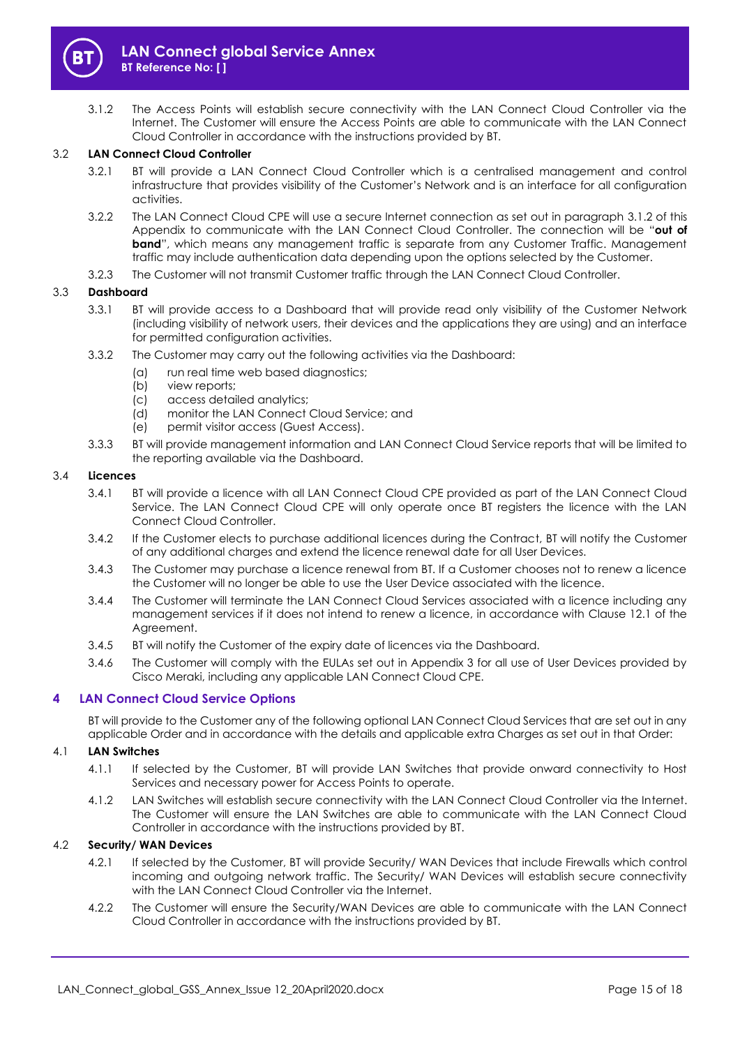

<span id="page-14-2"></span>3.1.2 The Access Points will establish secure connectivity with the LAN Connect Cloud Controller via the Internet. The Customer will ensure the Access Points are able to communicate with the LAN Connect Cloud Controller in accordance with the instructions provided by BT.

## <span id="page-14-0"></span>3.2 **LAN Connect Cloud Controller**

- 3.2.1 BT will provide a LAN Connect Cloud Controller which is a centralised management and control infrastructure that provides visibility of the Customer's Network and is an interface for all configuration activities.
- 3.2.2 The LAN Connect Cloud CPE will use a secure Internet connection as set out in paragraph [3.1.2](#page-14-2) of this Appendix to communicate with the LAN Connect Cloud Controller. The connection will be "**out of band**", which means any management traffic is separate from any Customer Traffic. Management traffic may include authentication data depending upon the options selected by the Customer.
- 3.2.3 The Customer will not transmit Customer traffic through the LAN Connect Cloud Controller.

## 3.3 **Dashboard**

- 3.3.1 BT will provide access to a Dashboard that will provide read only visibility of the Customer Network (including visibility of network users, their devices and the applications they are using) and an interface for permitted configuration activities.
- 3.3.2 The Customer may carry out the following activities via the Dashboard:
	- (a) run real time web based diagnostics;
	- (b) view reports;
	- (c) access detailed analytics;
	- (d) monitor the LAN Connect Cloud Service; and
	- (e) permit visitor access (Guest Access).
- 3.3.3 BT will provide management information and LAN Connect Cloud Service reports that will be limited to the reporting available via the Dashboard.

#### 3.4 **Licences**

- 3.4.1 BT will provide a licence with all LAN Connect Cloud CPE provided as part of the LAN Connect Cloud Service. The LAN Connect Cloud CPE will only operate once BT registers the licence with the LAN Connect Cloud Controller.
- 3.4.2 If the Customer elects to purchase additional licences during the Contract, BT will notify the Customer of any additional charges and extend the licence renewal date for all User Devices.
- 3.4.3 The Customer may purchase a licence renewal from BT. If a Customer chooses not to renew a licence the Customer will no longer be able to use the User Device associated with the licence.
- 3.4.4 The Customer will terminate the LAN Connect Cloud Services associated with a licence including any management services if it does not intend to renew a licence, in accordance with Clause 12.1 of the Agreement.
- 3.4.5 BT will notify the Customer of the expiry date of licences via the Dashboard.
- 3.4.6 The Customer will comply with the EULAs set out in Appendix 3 for all use of User Devices provided by Cisco Meraki, including any applicable LAN Connect Cloud CPE.

## <span id="page-14-1"></span>**4 LAN Connect Cloud Service Options**

BT will provide to the Customer any of the following optional LAN Connect Cloud Services that are set out in any applicable Order and in accordance with the details and applicable extra Charges as set out in that Order:

## 4.1 **LAN Switches**

- 4.1.1 If selected by the Customer, BT will provide LAN Switches that provide onward connectivity to Host Services and necessary power for Access Points to operate.
- 4.1.2 LAN Switches will establish secure connectivity with the LAN Connect Cloud Controller via the Internet. The Customer will ensure the LAN Switches are able to communicate with the LAN Connect Cloud Controller in accordance with the instructions provided by BT.

## 4.2 **Security/ WAN Devices**

- 4.2.1 If selected by the Customer, BT will provide Security/ WAN Devices that include Firewalls which control incoming and outgoing network traffic. The Security/ WAN Devices will establish secure connectivity with the LAN Connect Cloud Controller via the Internet.
- 4.2.2 The Customer will ensure the Security/WAN Devices are able to communicate with the LAN Connect Cloud Controller in accordance with the instructions provided by BT.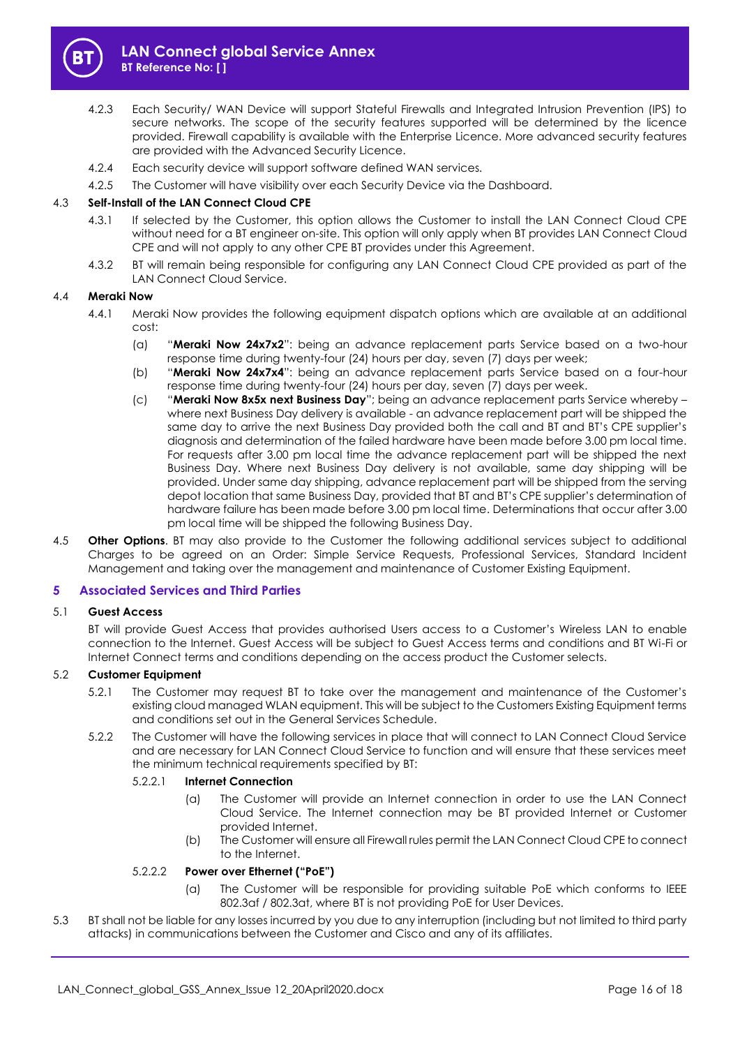

- 4.2.3 Each Security/ WAN Device will support Stateful Firewalls and Integrated Intrusion Prevention (IPS) to secure networks. The scope of the security features supported will be determined by the licence provided. Firewall capability is available with the Enterprise Licence. More advanced security features are provided with the Advanced Security Licence.
- 4.2.4 Each security device will support software defined WAN services.
- 4.2.5 The Customer will have visibility over each Security Device via the Dashboard.

## 4.3 **Self-Install of the LAN Connect Cloud CPE**

- 4.3.1 If selected by the Customer, this option allows the Customer to install the LAN Connect Cloud CPE without need for a BT engineer on-site. This option will only apply when BT provides LAN Connect Cloud CPE and will not apply to any other CPE BT provides under this Agreement.
- 4.3.2 BT will remain being responsible for configuring any LAN Connect Cloud CPE provided as part of the LAN Connect Cloud Service.

## <span id="page-15-1"></span>4.4 **Meraki Now**

- 4.4.1 Meraki Now provides the following equipment dispatch options which are available at an additional cost:
	- (a) "**Meraki Now 24x7x2**": being an advance replacement parts Service based on a two-hour response time during twenty-four (24) hours per day, seven (7) days per week;
	- (b) "**Meraki Now 24x7x4**": being an advance replacement parts Service based on a four-hour response time during twenty-four (24) hours per day, seven (7) days per week.
	- (c) "**Meraki Now 8x5x next Business Day**"; being an advance replacement parts Service whereby where next Business Day delivery is available - an advance replacement part will be shipped the same day to arrive the next Business Day provided both the call and BT and BT's CPE supplier's diagnosis and determination of the failed hardware have been made before 3.00 pm local time. For requests after 3.00 pm local time the advance replacement part will be shipped the next Business Day. Where next Business Day delivery is not available, same day shipping will be provided. Under same day shipping, advance replacement part will be shipped from the serving depot location that same Business Day, provided that BT and BT's CPE supplier's determination of hardware failure has been made before 3.00 pm local time. Determinations that occur after 3.00 pm local time will be shipped the following Business Day.
- 4.5 **Other Options**. BT may also provide to the Customer the following additional services subject to additional Charges to be agreed on an Order: Simple Service Requests, Professional Services, Standard Incident Management and taking over the management and maintenance of Customer Existing Equipment.

## <span id="page-15-0"></span>**5 Associated Services and Third Parties**

#### 5.1 **Guest Access**

BT will provide Guest Access that provides authorised Users access to a Customer's Wireless LAN to enable connection to the Internet. Guest Access will be subject to Guest Access terms and conditions and BT Wi-Fi or Internet Connect terms and conditions depending on the access product the Customer selects.

## 5.2 **Customer Equipment**

- 5.2.1 The Customer may request BT to take over the management and maintenance of the Customer's existing cloud managed WLAN equipment. This will be subject to the Customers Existing Equipment terms and conditions set out in the General Services Schedule.
- 5.2.2 The Customer will have the following services in place that will connect to LAN Connect Cloud Service and are necessary for LAN Connect Cloud Service to function and will ensure that these services meet the minimum technical requirements specified by BT:

## 5.2.2.1 **Internet Connection**

- (a) The Customer will provide an Internet connection in order to use the LAN Connect Cloud Service. The Internet connection may be BT provided Internet or Customer provided Internet.
- (b) The Customer will ensure all Firewall rules permit the LAN Connect Cloud CPE to connect to the Internet.

## 5.2.2.2 **Power over Ethernet ("PoE")**

- (a) The Customer will be responsible for providing suitable PoE which conforms to IEEE 802.3af / 802.3at, where BT is not providing PoE for User Devices.
- 5.3 BT shall not be liable for any losses incurred by you due to any interruption (including but not limited to third party attacks) in communications between the Customer and Cisco and any of its affiliates.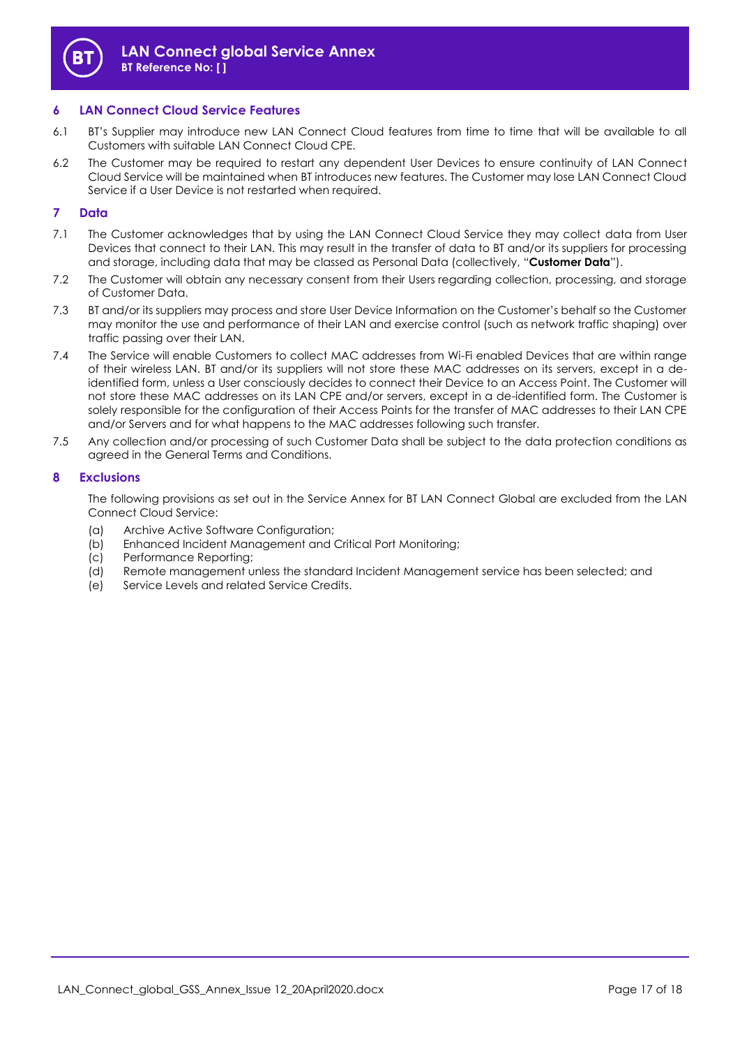

## **6 LAN Connect Cloud Service Features**

- 6.1 BT's Supplier may introduce new LAN Connect Cloud features from time to time that will be available to all Customers with suitable LAN Connect Cloud CPE.
- 6.2 The Customer may be required to restart any dependent User Devices to ensure continuity of LAN Connect Cloud Service will be maintained when BT introduces new features. The Customer may lose LAN Connect Cloud Service if a User Device is not restarted when required.

## **7 Data**

- 7.1 The Customer acknowledges that by using the LAN Connect Cloud Service they may collect data from User Devices that connect to their LAN. This may result in the transfer of data to BT and/or its suppliers for processing and storage, including data that may be classed as Personal Data (collectively, "**Customer Data**").
- 7.2 The Customer will obtain any necessary consent from their Users regarding collection, processing, and storage of Customer Data.
- 7.3 BT and/or its suppliers may process and store User Device Information on the Customer's behalf so the Customer may monitor the use and performance of their LAN and exercise control (such as network traffic shaping) over traffic passing over their LAN.
- 7.4 The Service will enable Customers to collect MAC addresses from Wi-Fi enabled Devices that are within range of their wireless LAN. BT and/or its suppliers will not store these MAC addresses on its servers, except in a deidentified form, unless a User consciously decides to connect their Device to an Access Point. The Customer will not store these MAC addresses on its LAN CPE and/or servers, except in a de-identified form. The Customer is solely responsible for the configuration of their Access Points for the transfer of MAC addresses to their LAN CPE and/or Servers and for what happens to the MAC addresses following such transfer.
- 7.5 Any collection and/or processing of such Customer Data shall be subject to the data protection conditions as agreed in the General Terms and Conditions.

## **8 Exclusions**

The following provisions as set out in the Service Annex for BT LAN Connect Global are excluded from the LAN Connect Cloud Service:

- (a) Archive Active Software Configuration;
- (b) Enhanced Incident Management and Critical Port Monitoring;
- (c) Performance Reporting;
- (d) Remote management unless the standard Incident Management service has been selected; and
- (e) Service Levels and related Service Credits.